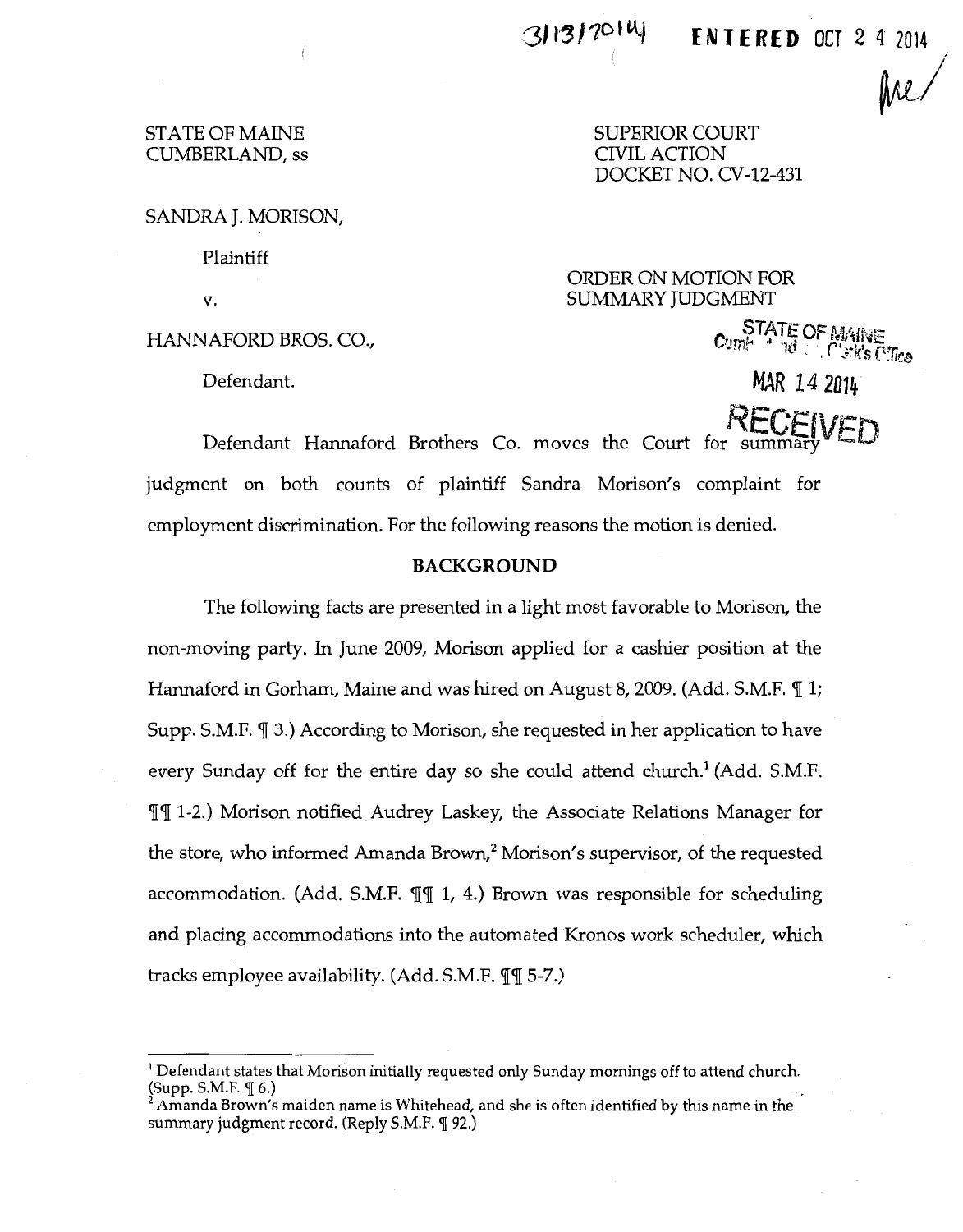# **E N T E R E D OCT** 2 4 **<sup>2014</sup>**

fre $/$ 

## STATE OF MAINE CUMBERLAND, ss

SUPERIOR COURT CIVIL ACTION DOCKET NO. CV-12-431

SANDRA **J.** MORISON,

Plaintiff

v.

Defendant.

ORDER ON MOTION FOR SUMMARY JUDGMENT

HANNAFORD BROS. CO.,  $C_{\text{UTR}}^{\text{SIATE}}$  of  $\mathcal{M}_{\text{N}}^{\text{N}}$  is  $C_{\text{N}}^{\text{N}}$ 

**MAR 14 2014** 

 $RFCEN$ 

Defendant Hannaford Brothers Co. moves the Court judgment on both counts of plaintiff Sandra Morison's complaint for employment discrimination. For the following reasons the motion is denied.

## **BACKGROUND**

The following facts are presented in a light most favorable to Morison, the non-moving party. In June 2009, Morison applied for a cashier position at the Hannaford in Gorham, Maine and was hired on August 8, 2009. (Add. S.M.F. *[1]*; Supp. S.M.F. *[[ 3.]* According to Morison, she requested in her application to have every Sunday off for the entire day so she could attend church.<sup>1</sup> (Add. S.M.F. **July 1-2.)** Morison notified Audrey Laskey, the Associate Relations Manager for the store, who informed Amanda Brown,<sup>2</sup> Morison's supervisor, of the requested accommodation. (Add. S.M.F.  $\P\P$  1, 4.) Brown was responsible for scheduling and placing accommodations into the automated Kronos work scheduler, which tracks employee availability. (Add. S.M.F.  $\P$  $\P$  5-7.)

<sup>&</sup>lt;sup>1</sup> Defendant states that Morison initially requested only Sunday mornings off to attend church.<br>(Supp. S.M.F.  $\P$  6.)

 $\hat{\mathcal{F}}$  Amanda Brown's maiden name is Whitehead, and she is often identified by this name in the summary judgment record. (Reply S.M.F. [ 92.)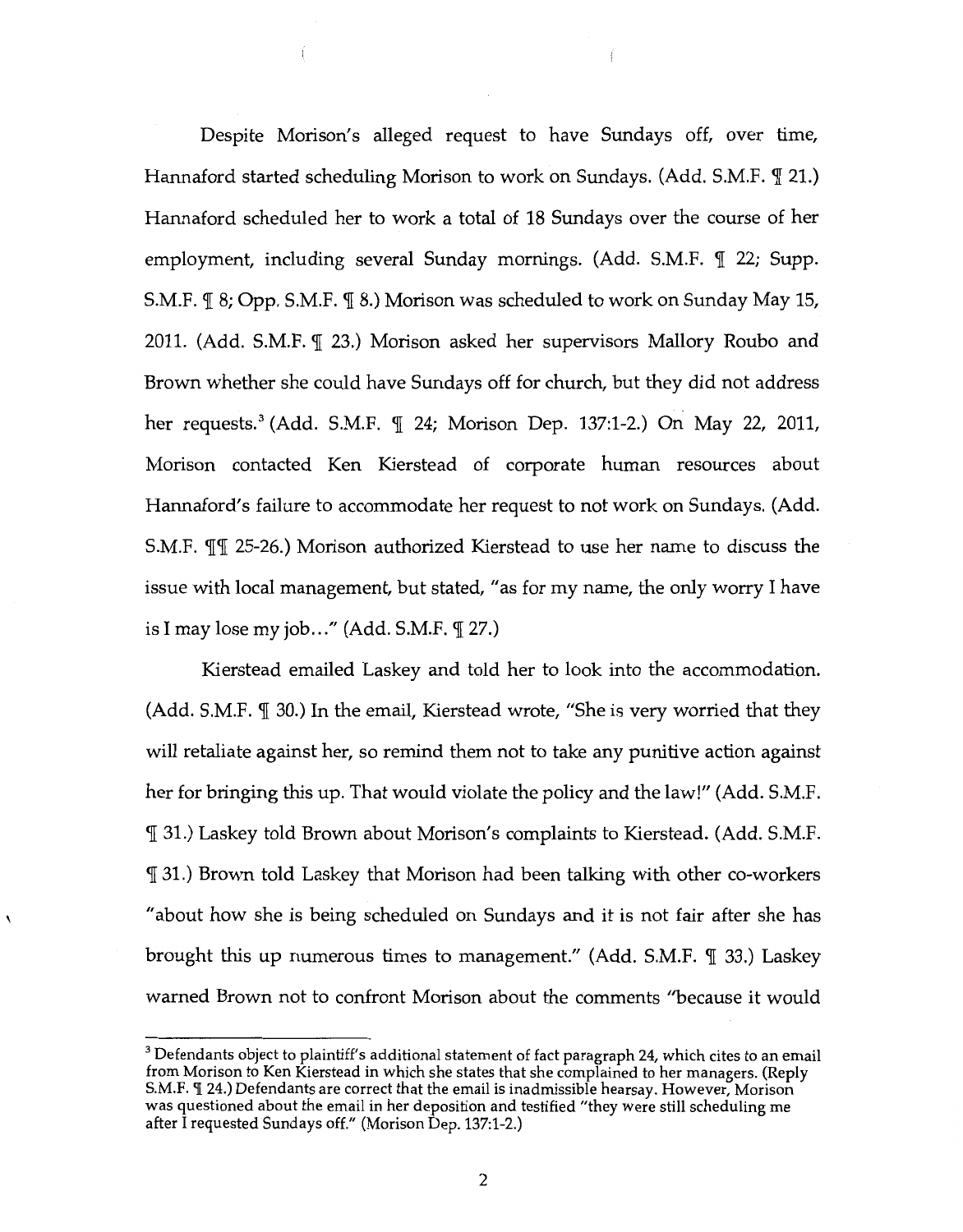Despite Morison's alleged request to have Sundays off, over time, Hannaford started scheduling Morison to work on Sundays. (Add. S.M.F.  $\P$  21.) Hannaford scheduled her to work a total of 18 Sundays over the course of her employment, including several Sunday mornings. (Add. S.M.F.  $\P$  22; Supp. S.M.F.  $\mathcal{I}$  8; Opp. S.M.F.  $\mathcal{I}$  8.) Morison was scheduled to work on Sunday May 15, 2011. (Add. S.M.F. 1 23.) Morison asked her supervisors Mallory Roubo and Brown whether she could have Sundays off for church, but they did not address her requests.<sup>3</sup> (Add. S.M.F. 1 24; Morison Dep. 137:1-2.) On May 22, 2011, Morison contacted Ken Kierstead of corporate human resources about Hannaford's failure to accommodate her request to not work on Sundays. (Add. S.M.F. 11 25-26.) Morison authorized Kierstead to use her name to discuss the issue with local management, but stated, "as for my name, the only worry I have is I may lose my job..." (Add. S.M.F.  $\mathcal{I}$  27.)

Kierstead emailed Laskey and told her to look into the accommodation. (Add. S.M.F.  $\P$  30.) In the email, Kierstead wrote, "She is very worried that they will retaliate against her, so remind them not to take any punitive action against her for bringing this up. That would violate the policy and the law!" (Add. S.M.F. 131.) Laskey told Brown about Morison's complaints to Kierstead. (Add. S.M.F. 131.) Brown told Laskey that Morison had been talking with other co-workers "about how she is being scheduled on Sundays and it is not fair after she has brought this up numerous times to management." (Add. S.M.F.  $\P$  33.) Laskey warned Brown not to confront Morison about the comments "because it would

<sup>&</sup>lt;sup>3</sup> Defendants object to plaintiff's additional statement of fact paragraph 24, which cites to an email from Morison to Ken Kierstead in which she states that she complained to her managers. (Reply S.M.F.  $\P$  24.) Defendants are correct that the email is inadmissible hearsay. However, Morison was questioned about the email in her deposition and testified "they were still scheduling me after I requested Sundays off." (Morison Dep. 137:1-2.)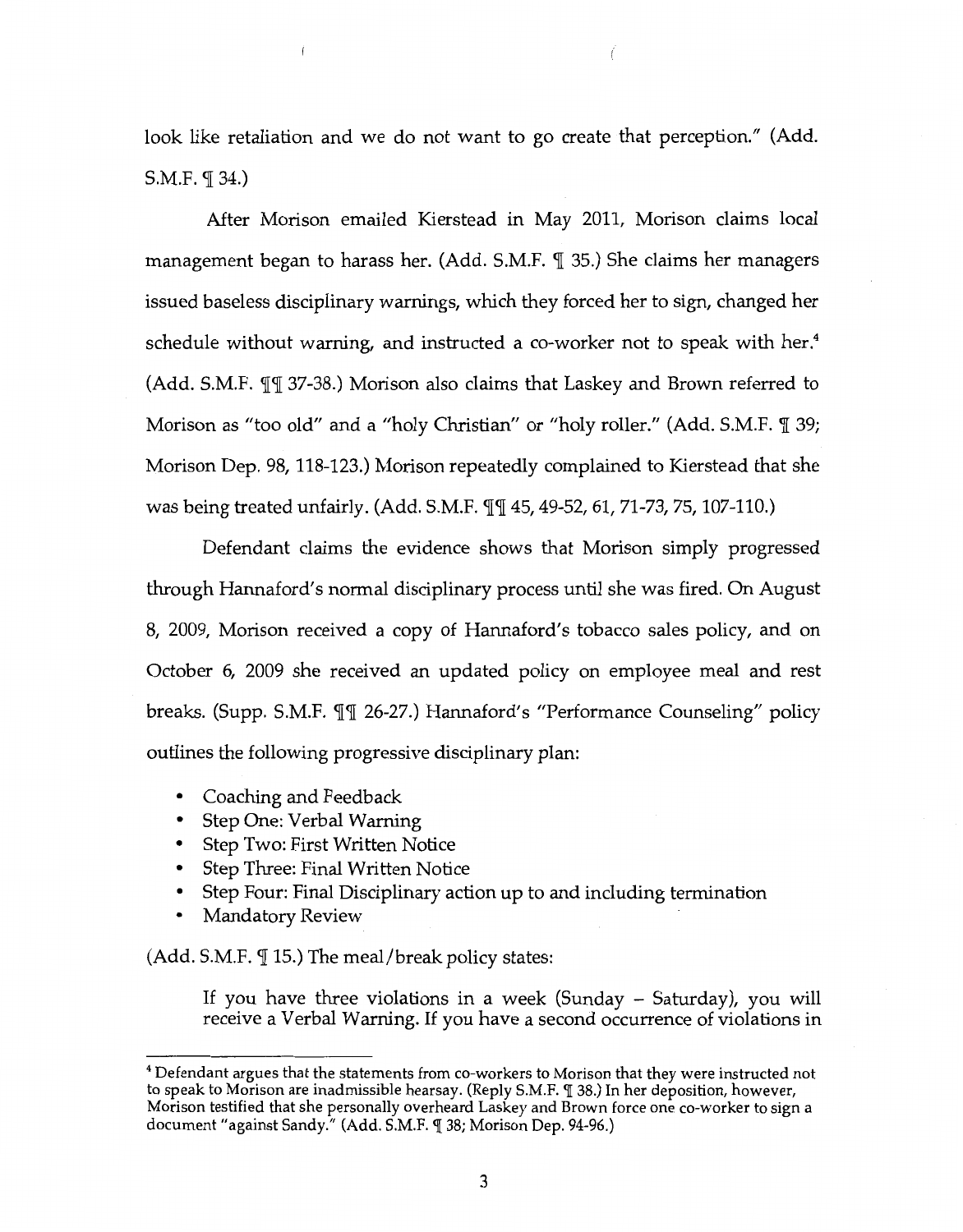look like retaliation and we do not want to go create that perception." (Add. S.M.F.  $\P$  34.)

After Morison emailed Kierstead in May 2011, Morison claims local management began to harass her. (Add. S.M.F.  $\P$  35.) She claims her managers issued baseless disciplinary warnings, which they forced her to sign, changed her schedule without warning, and instructed a co-worker not to speak with her.<sup>4</sup> (Add. S.M.F.  $\P$  $\P$  37-38.) Morison also claims that Laskey and Brown referred to Morison as "too old" and a "holy Christian" or "holy roller." (Add. S.M.F.  $\mathbb{I}$  39; Morison Dep. 98, 118-123.) Morison repeatedly complained to Kierstead that she was being treated unfairly. (Add. S.M.F.  $\P\P$  45, 49-52, 61, 71-73, 75, 107-110.)

Defendant claims the evidence shows that Morison simply progressed through Hannaford's normal disciplinary process until she was fired. On August 8, 2009, Morison received a copy of Hannaford's tobacco sales policy, and on October 6, 2009 she received an updated policy on employee meal and rest breaks. (Supp. S.M.F.  $\P$  $\P$  26-27.) Hannaford's "Performance Counseling" policy outlines the following progressive disciplinary plan:

- Coaching and Feedback
- Step One: Verbal Warning
- Step Two: First Written Notice
- Step Three: Final Written Notice
- Step Four: Final Disciplinary action up to and including termination
- Mandatory Review

(Add. S.M.F.  $\P$  15.) The meal/break policy states:

If you have three violations in a week (Sunday - Saturday), you will receive a Verbal Warning. If you have a second occurrence of violations in

<sup>&</sup>lt;sup>4</sup> Defendant argues that the statements from co-workers to Morison that they were instructed not to speak to Morison are inadmissible hearsay. (Reply S.M.F. [ 38.) In her deposition, however, Morison testified that she personally overheard Laskey and Brown force one co-worker to sign a document "against Sandy." (Add. S.M.F. ¶ 38; Morison Dep. 94-96.)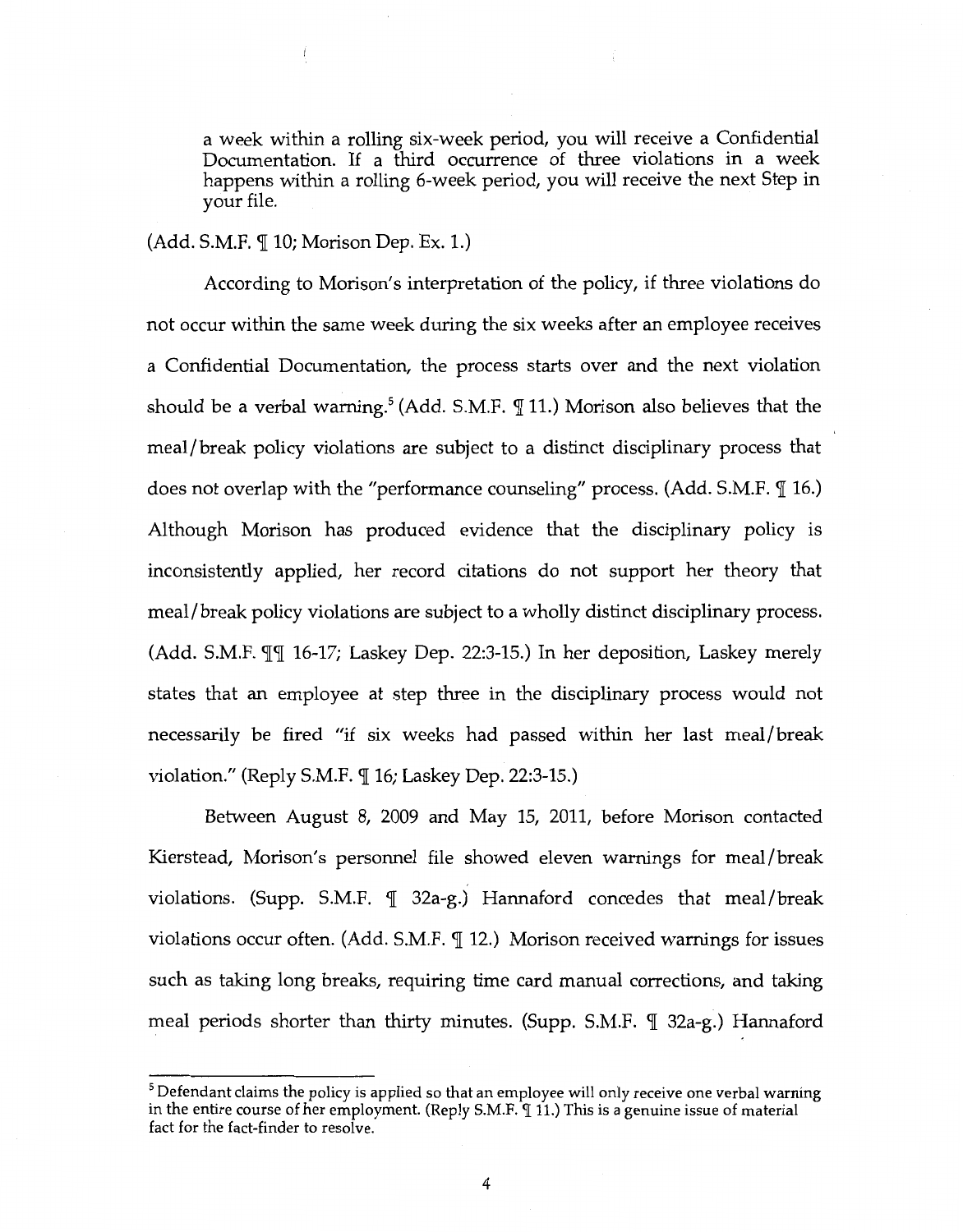a week within a rolling six-week period, you will receive a Confidential Documentation. If a third occurrence of three violations in a week happens within a rolling 6-week period, you will receive the next Step in your file.

### $(Add. S.M.F. \mathcal{T} 10; Morison Dep. Ex. 1.)$

ţ

According to Morison's interpretation of the policy, if three violations do not occur within the same week during the six weeks after an employee receives a Confidential Documentation, the process starts over and the next violation should be a verbal warning.<sup>5</sup> (Add. S.M.F.  $\P$  11.) Morison also believes that the meal/break policy violations are subject to a distinct disciplinary process that does not overlap with the "performance counseling" process. (Add. S.M.F.  $\mathcal{I}$  16.) Although Morison has produced evidence that the disciplinary policy is inconsistently applied, her record citations do not support her theory that meal/break policy violations are subject to a wholly distinct disciplinary process. (Add. S.M.F.  $\P\P$  16-17; Laskey Dep. 22:3-15.) In her deposition, Laskey merely states that an employee at step three in the disciplinary process would not necessarily be fired "if six weeks had passed within her last meal/break violation." (Reply S.M.F.  $\P$  16; Laskey Dep. 22:3-15.)

Between August 8, 2009 and May 15, 2011, before Morison contacted Kierstead, Morison's personnel file showed eleven warnings for meal/break violations. (Supp. S.M.F.  $\P$  32a-g.) Hannaford concedes that meal/break violations occur often. (Add. S.M.F.  $\P$  12.) Morison received warnings for issues such as taking long breaks, requiring time card manual corrections, and taking meal periods shorter than thirty minutes. (Supp. S.M.F.  $\P$  32a-g.) Hannaford

 $<sup>5</sup>$  Defendant claims the policy is applied so that an employee will only receive one verbal warning</sup> in the entire course of her employment. (Reply S.M.F. 11.) This is a genuine issue of material fact for the fact-finder to resolve.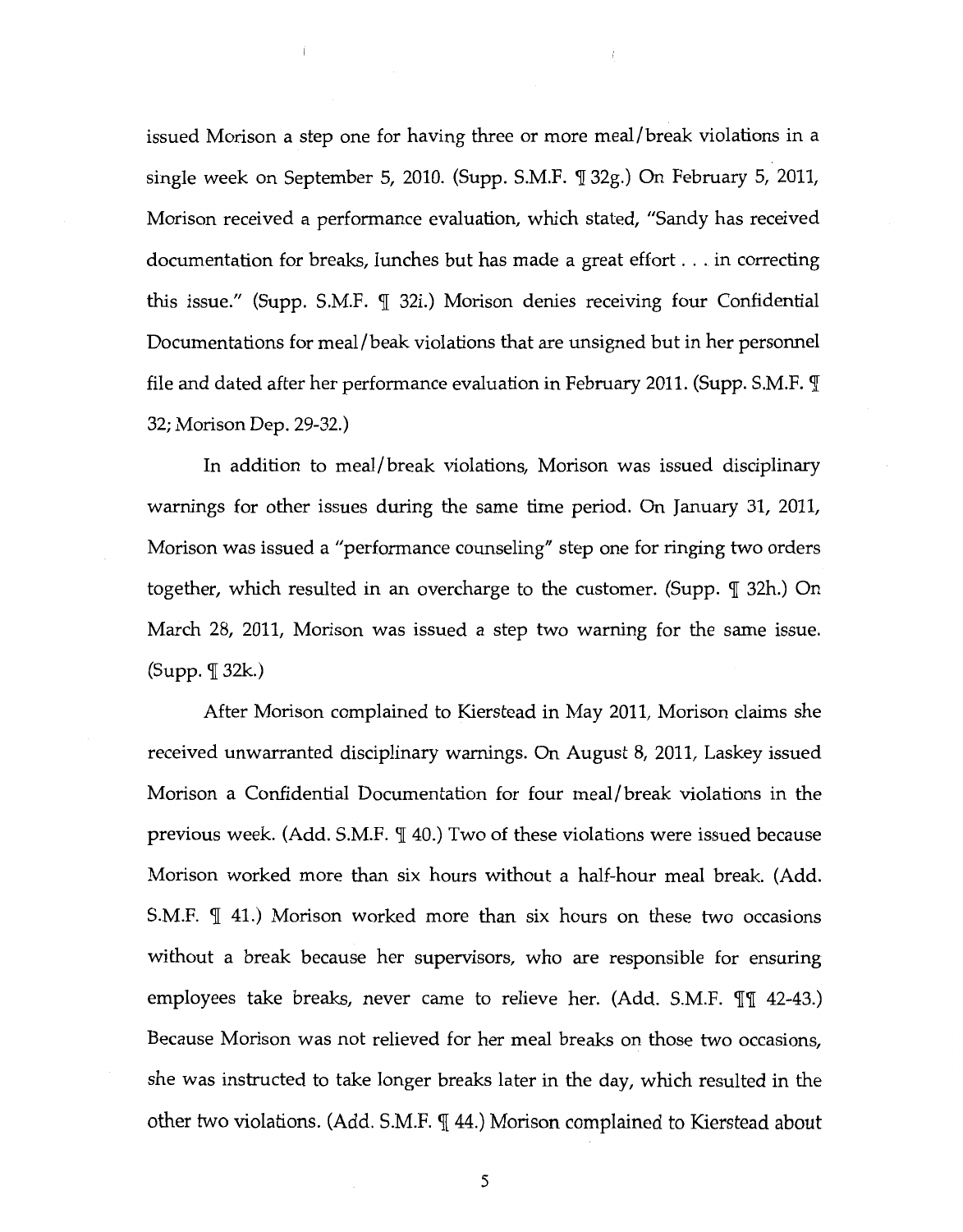issued Morison a step one for having three or more meal/break violations in a single week on September 5, 2010. (Supp. S.M.F. *'1[* 32g.) On February 5, 2011, Morison received a performance evaluation, which stated, "Sandy has received documentation for breaks, lunches but has made a great effort ... in correcting this issue." (Supp. S.M.F. *'1[* 32i.) Morison denies receiving four Confidential Documentations for meal/beak violations that are unsigned but in her personnel file and dated after her performance evaluation in February 2011. (Supp. S.M.F.  $\mathbb I$ 32; Morison Dep. 29-32.)

Ť

In addition to meal/break violations, Morison was issued disciplinary warnings for other issues during the same time period. On January 31, 2011, Morison was issued a "performance counseling" step one for ringing two orders together, which resulted in an overcharge to the customer. (Supp. *'1[* 32h.) On March 28, 2011, Morison was issued a step two warning for the same issue. (Supp. *'1[* 32k.)

After Morison complained to Kierstead in May 2011, Morison claims she received unwarranted disciplinary warnings. On August 8, 2011, Laskey issued Morison a Confidential Documentation for four meal/break violations in the previous week. (Add. S.M.F.  $\parallel$  40.) Two of these violations were issued because Morison worked more than six hours without a half-hour meal break. (Add. S.M.F.  $\parallel$  41.) Morison worked more than six hours on these two occasions without a break because her supervisors, who are responsible for ensuring employees take breaks, never came to relieve her. (Add. S.M.F. *[['142-43.*)] Because Morison was not relieved for her meal breaks on those two occasions, she was instructed to take longer breaks later in the day, which resulted in the other two violations. (Add. S.M.F.  $\P$  44.) Morison complained to Kierstead about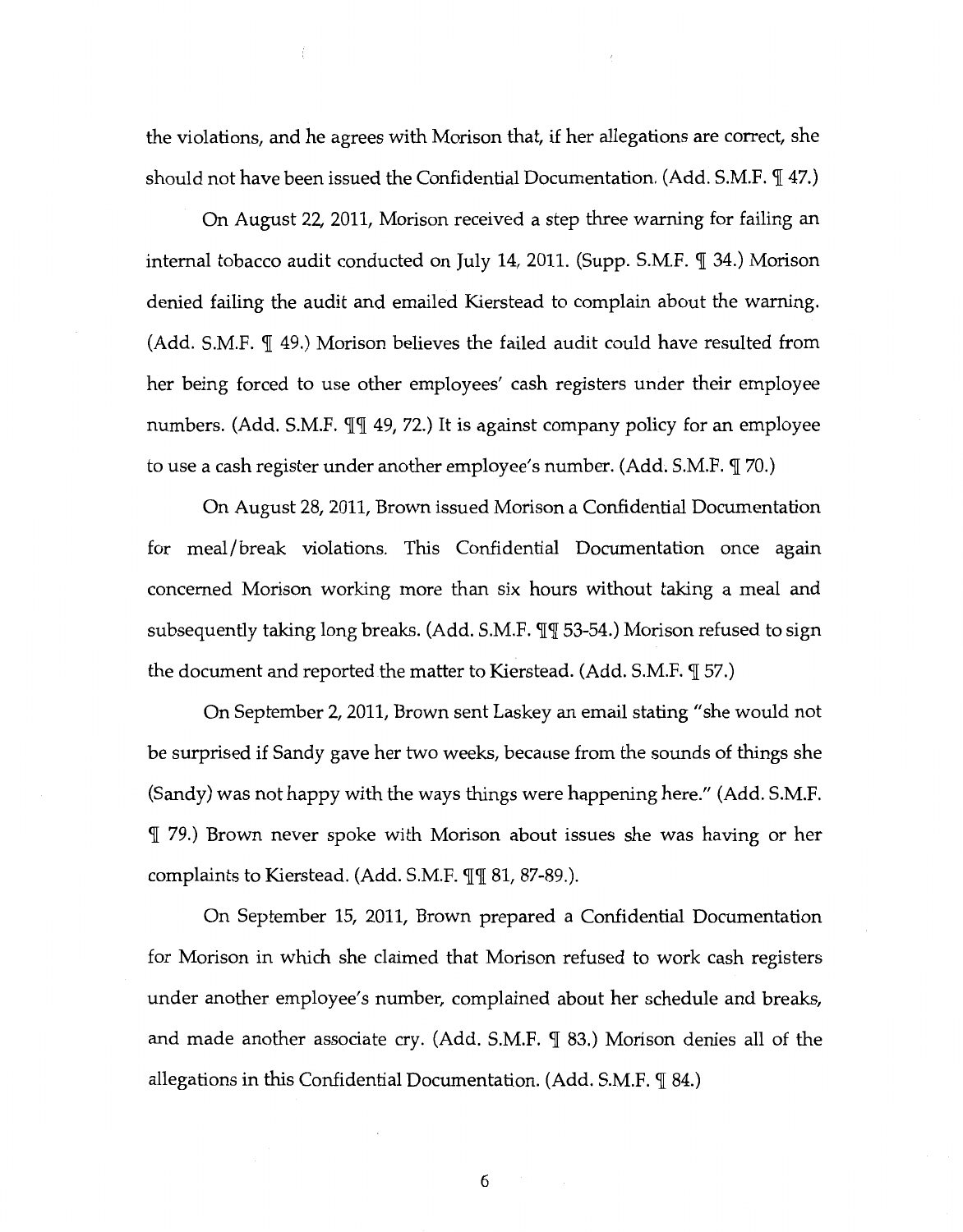the violations, and he agrees with Morison that, if her allegations are correct, she should not have been issued the Confidential Documentation. (Add. S.M.F.  $\P$  47.)

On August 22, 2011, Morison received a step three warning for failing an internal tobacco audit conducted on July 14, 2011. (Supp. S.M.F.  $\P$  34.) Morison denied failing the audit and emailed Kierstead to complain about the warning. (Add. S.M.F.  $\P$  49.) Morison believes the failed audit could have resulted from her being forced to use other employees' cash registers under their employee numbers. (Add. S.M.F.  $\P\P$  49, 72.) It is against company policy for an employee to use a cash register under another employee's number. (Add. S.M.F.  $\P$  70.)

On August 28, 2011, Brown issued Morison a Confidential Documentation for meal/break violations. This Confidential Documentation once again concerned Morison working more than six hours without taking a meal and subsequently taking long breaks. (Add. S.M.F.  $\P$  $\P$  53-54.) Morison refused to sign the document and reported the matter to Kierstead. (Add. S.M.F.  $\mathcal{I}$  57.)

On September 2, 2011, Brown sent Laskey an email stating "she would not be surprised if Sandy gave her two weeks, because from the sounds of things she (Sandy) was not happy with the ways things were happening here." (Add. S.M.F. <JI 79.) Brown never spoke with Morison about issues she was having or her complaints to Kierstead. (Add. S.M.F.  $\P$  $\P$  81, 87-89.).

On September 15, 2011, Brown prepared a Confidential Documentation for Morison in which she claimed that Morison refused to work cash registers under another employee's number, complained about her schedule and breaks, and made another associate cry. (Add. S.M.F.  $\P$  83.) Morison denies all of the allegations in this Confidential Documentation. (Add. S.M.F.  $\P$  84.)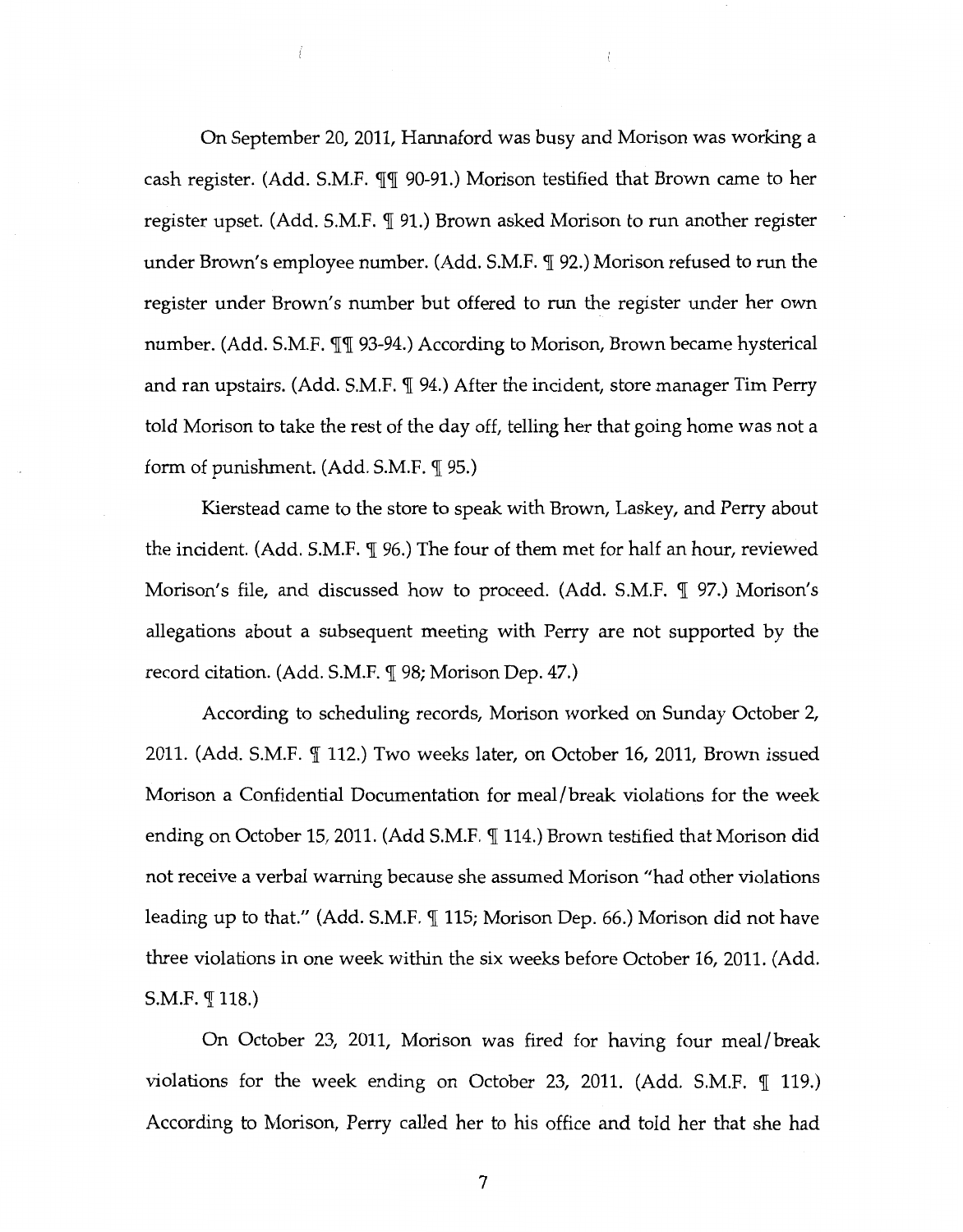On September 20, 2011, Hannaford was busy and Morison was working a cash register. (Add. S.M.F.  $\P\P$  90-91.) Morison testified that Brown came to her register upset. (Add. S.M.F.  $\P$  91.) Brown asked Morison to run another register under Brown's employee number. (Add. S.M.F. ¶ 92.) Morison refused to run the register under Brown's number but offered to run the register under her own number. (Add. S.M.F.  $\P$ ] 93-94.) According to Morison, Brown became hysterical and ran upstairs. (Add. S.M.F.  $\P$  94.) After the incident, store manager Tim Perry told Morison to take the rest of the day off, telling her that going home was not a form of punishment.  $(Add. S.M.F. \mathcal{T} 95.)$ 

 $\mathfrak{f}$ 

 $\sqrt{ }$ 

Kierstead came to the store to speak with Brown, Laskey, and Perry about the incident. (Add. S.M.F.  $\P$  96.) The four of them met for half an hour, reviewed Morison's file, and discussed how to proceed. (Add. S.M.F. ¶ 97.) Morison's allegations about a subsequent meeting with Perry are not supported by the record citation. (Add. S.M.F. ¶ 98; Morison Dep. 47.)

According to scheduling records, Morison worked on Sunday October 2, 2011. (Add. S.M.F.  $\P$  112.) Two weeks later, on October 16, 2011, Brown issued Morison a Confidential Documentation for meal/break violations for the week ending on October 15, 2011. (Add S.M.F.  $\P$  114.) Brown testified that Morison did not receive a verbal warning because she assumed Morison "had other violations leading up to that." (Add. S.M.F.  $\P$  115; Morison Dep. 66.) Morison did not have three violations in one week within the six weeks before October 16, 2011. (Add.  $S.M.F. \P 118.)$ 

On October 23, 2011, Morison was fired for having four meal/break violations for the week ending on October 23, 2011. (Add. S.M.F.  $\mathbb{I}$  119.) According to Morison, Perry called her to his office and told her that she had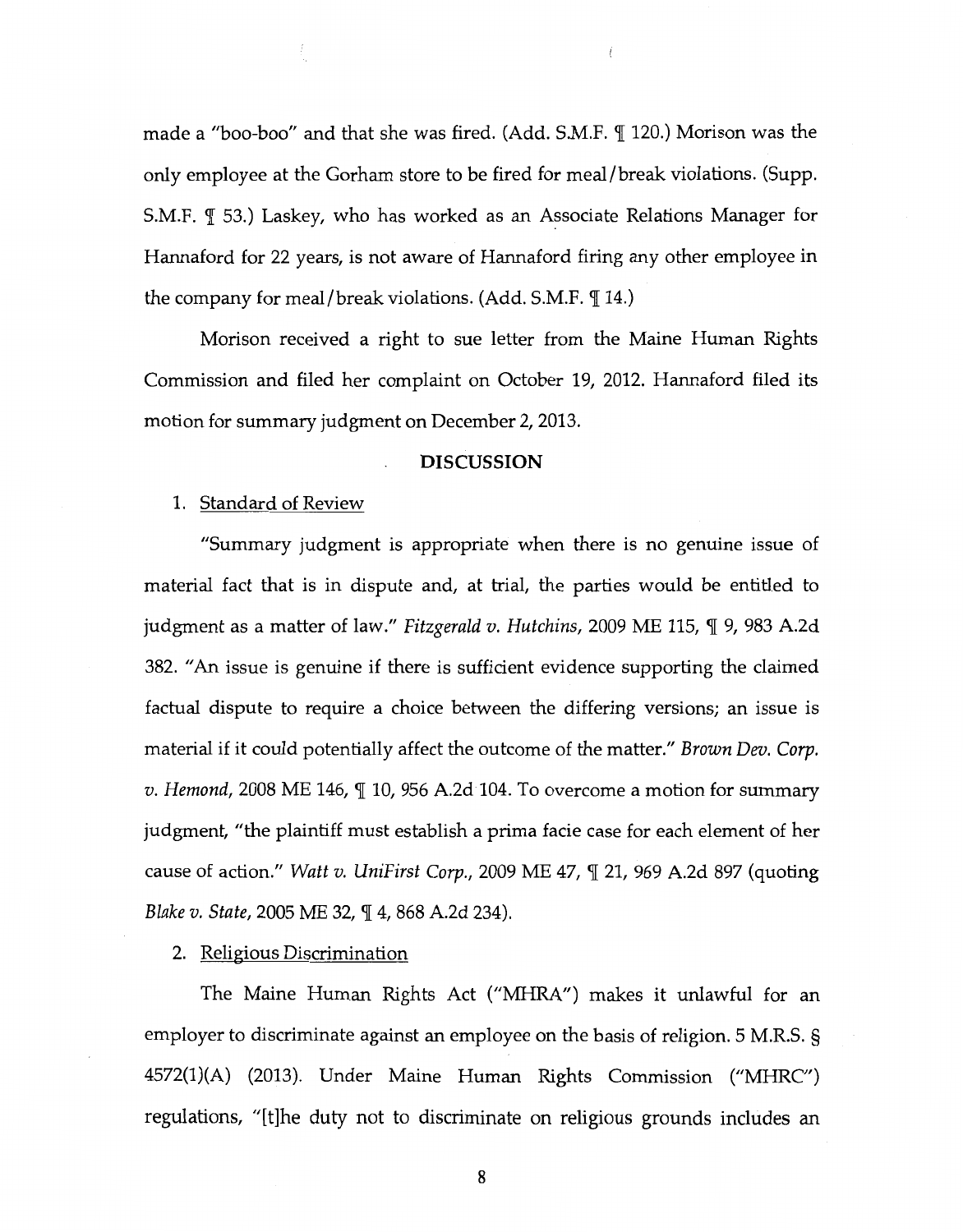made a "boo-boo" and that she was fired. (Add. S.M.F.  $\P$  120.) Morison was the only employee at the Gorham store to be fired for meal/break violations. (Supp. S.M.F.  $\parallel$  53.) Laskey, who has worked as an Associate Relations Manager for Hannaford for 22 years, is not aware of Hannaford firing any other employee in the company for meal/break violations. (Add. S.M.F.  $\P$  14.)

 $\overline{1}$ 

Morison received a right to sue letter from the Maine Human Rights Commission and filed her complaint on October 19, 2012. Hannaford filed its motion for summary judgment on December 2, 2013.

#### **DISCUSSION**

#### 1. Standard of Review

"Summary judgment is appropriate when there is no genuine issue of material fact that is in dispute and, at trial, the parties would be entitled to judgment as a matter of law." *Fitzgerald v. Hutchins*, 2009 ME 115, ¶ 9, 983 A.2d 382. "An issue is genuine if there is sufficient evidence supporting the claimed factual dispute to require a choice between the differing versions; an issue is material if it could potentially affect the outcome of the matter." *Brown Dev. Corp. v. Hemond,* 2008 ME 146,  $\mathbb{I}$  10, 956 A.2d 104. To overcome a motion for summary judgment, "the plaintiff must establish a prima facie case for each element of her cause of action." *Watt v. UniFirst Corp.*, 2009 ME 47, *[21, 969 A.2d 897 (quoting Blake v. State, 2005 ME 32, ¶ 4, 868 A.2d 234).* 

#### 2. Religious Discrimination

The Maine Human Rights Act ("MHRA") makes it unlawful for an employer to discriminate against an employee on the basis of religion. 5 M.R.S. § 4572(1)(A) (2013). Under Maine Human Rights Commission ("MHRC") regulations, "[t]he duty not to discriminate on religious grounds includes an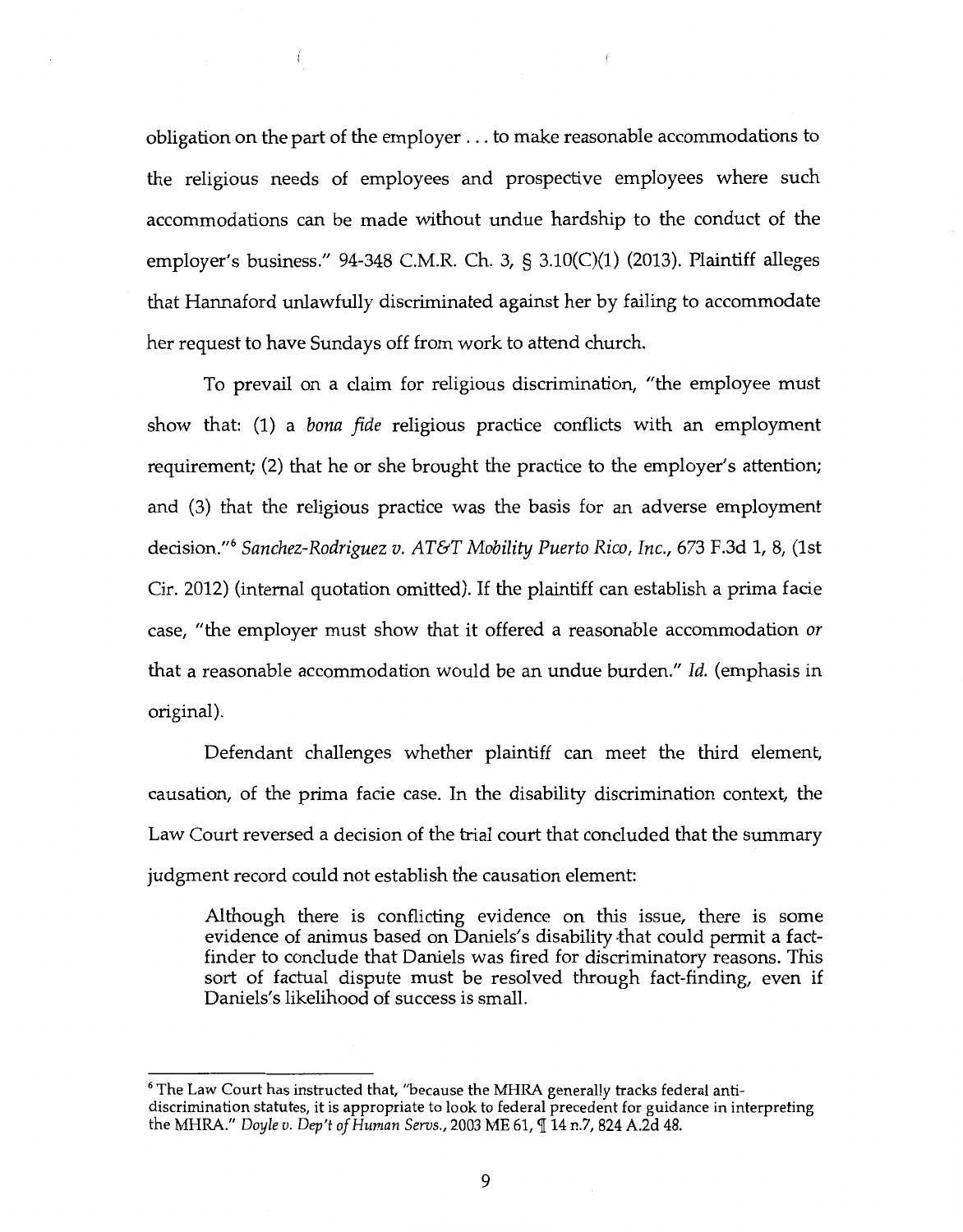obligation on the part of the employer ... to make reasonable accommodations to the religious needs of employees and prospective employees where such accommodations can be made without undue hardship to the conduct of the employer's business." 94-348 C.M.R. Ch. 3, § 3.10(C)(l) (2013). Plaintiff alleges that Hannaford unlawfully discriminated against her by failing to accommodate her request to have Sundays off from work to attend church.

 $\left\langle \right\rangle$ 

To prevail on a claim for religious discrimination, "the employee must show that: (1) a *bona fide* religious practice conflicts with an employment requirement; (2) that he or she brought the practice to the employer's attention; and (3) that the religious practice was the basis for an adverse employment decision." <sup>6</sup>*Sanchez-Rodriguez v.* AT&T *Mobility Puerto Rico, Inc.,* 673 F.3d 1, 8, (1st Cir. 2012) (internal quotation omitted). If the plaintiff can establish a prima facie case, "the employer must show that it offered a reasonable accommodation *or*  that a reasonable accommodation would be an undue burden." *Id.* (emphasis in original).

Defendant challenges whether plaintiff can meet the third element, causation, of the prima facie case. In the disability discrimination context, the Law Court reversed a decision of the trial court that concluded that the summary judgment record could not establish the causation element:

Although there is conflicting evidence on this issue, there is some evidence of animus based on Daniels's disability that could permit a factfinder to conclude that Daniels was fired for discriminatory reasons. This sort of factual dispute must be resolved through fact-finding, even if Daniels's likelihood of success is small.

<sup>6</sup> The Law Court has instructed that, "because the MHRA generally tracks federal antidiscrimination statutes, it is appropriate to look to federal precedent for guidance in interpreting the MHRA." *Doyle v. Dep't of Human Servs.,* 2003 ME 61,114 n.7, 824 A.2d 48.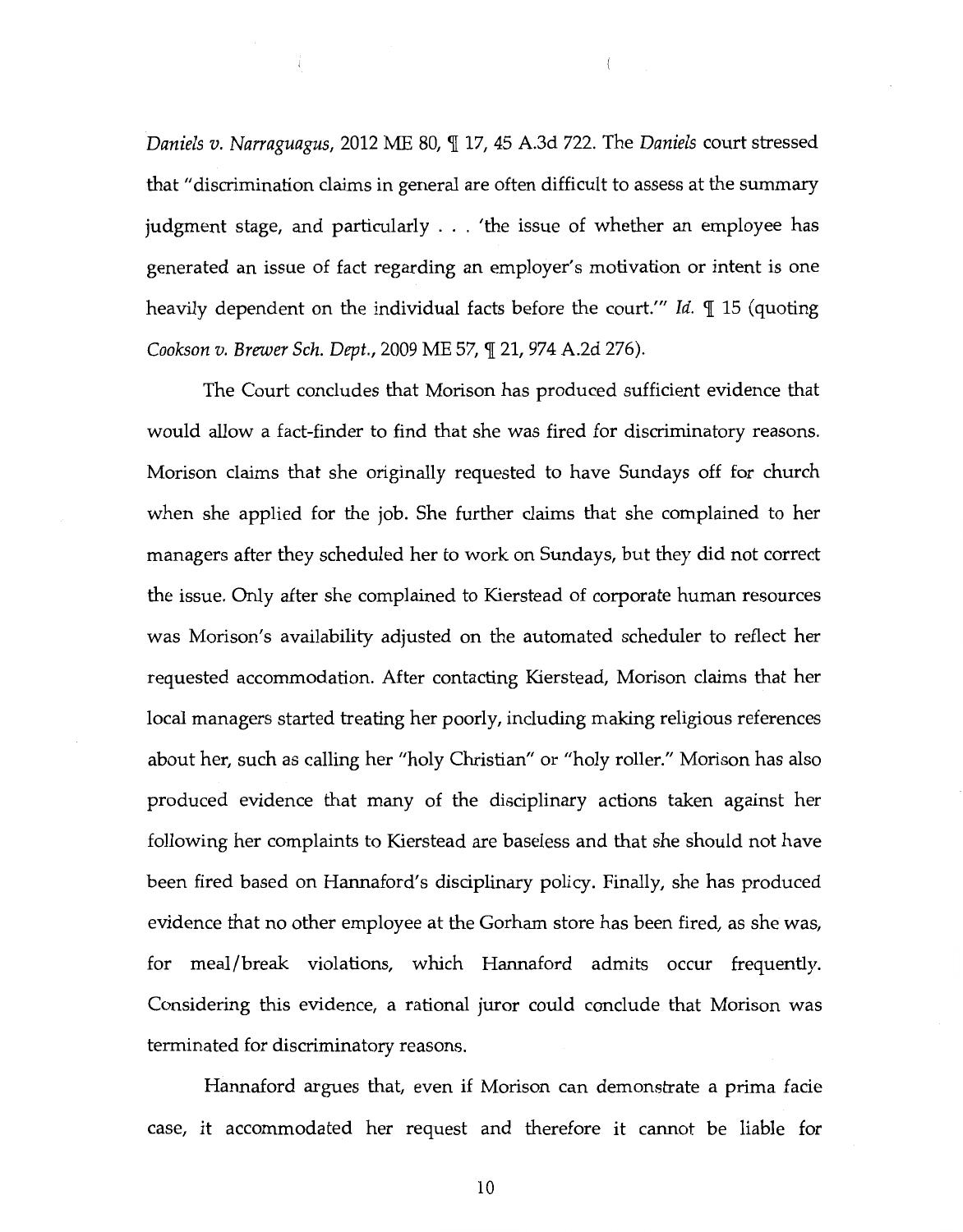*Daniels v. Narraguagus,* 2012 ME 80,  $\P$  17, 45 A.3d 722. The *Daniels* court stressed that "discrimination claims in general are often difficult to assess at the summary judgment stage, and particularly ... 'the issue of whether an employee has generated an issue of fact regarding an employer's motivation or intent is one heavily dependent on the individual facts before the court." *Id. [15 (quoting* Cookson v. Brewer Sch. Dept., 2009 ME 57,  $\P$  21, 974 A.2d 276).

 $\langle$ 

The Court concludes that Morison has produced sufficient evidence that would allow a fact-finder to find that she was fired for discriminatory reasons. Morison claims that she originally requested to have Sundays off for church when she applied for the job. She further claims that she complained to her managers after they scheduled her to work on Sundays, but they did not correct the issue. Only after she complained to Kierstead of corporate human resources was Morison's availability adjusted on the automated scheduler to reflect her requested accommodation. After contacting Kierstead, Morison claims that her local managers started treating her poorly, including making religious references about her, such as calling her "holy Christian" or "holy roller." Morison has also produced evidence that many of the disciplinary actions taken against her following her complaints to Kierstead are baseless and that she should not have been fired based on Hannaford's disciplinary policy. Finally, she has produced evidence that no other employee at the Gorham store has been fired, as she was, for meal/break violations, which Hannaford admits occur frequently. Considering this evidence, a rational juror could conclude that Morison was terminated for discriminatory reasons.

Hannaford argues that, even if Morison can demonstrate a prima facie case, it accommodated her request and therefore it cannot be liable for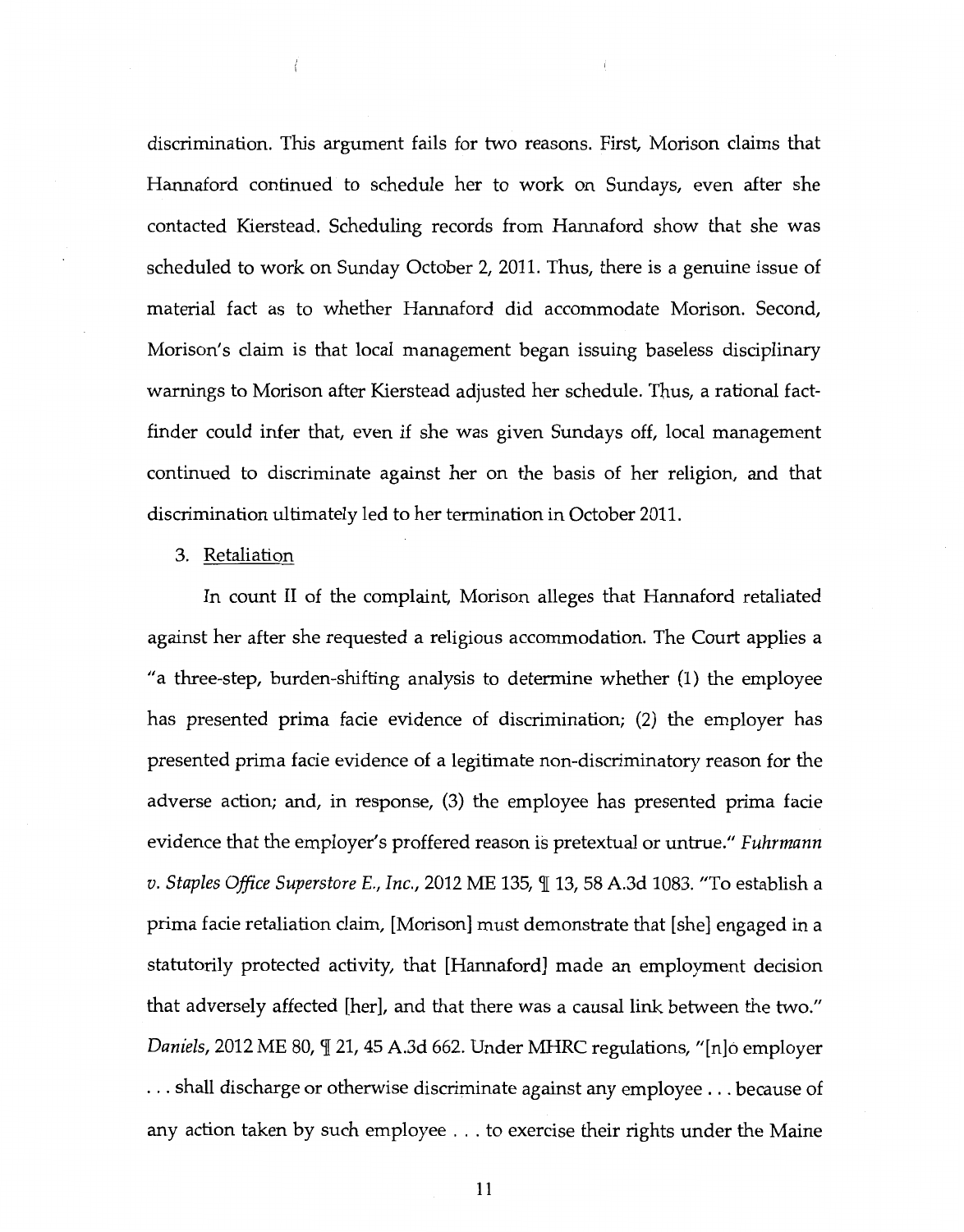discrimination. This argument fails for two reasons. First, Morison claims that Hannaford continued to schedule her to work on Sundays, even after she contacted Kierstead. Scheduling records from Hannaford show that she was scheduled to work on Sunday October 2, 2011. Thus, there is a genuine issue of material fact as to whether Hannaford did accommodate Morison. Second, Morison's claim is that local management began issuing baseless disciplinary warnings to Morison after Kierstead adjusted her schedule. Thus, a rational factfinder could infer that, even if she was given Sundays off, local management continued to discriminate against her on the basis of her religion, and that discrimination ultimately led to her termination in October 2011.

#### 3. Retaliation

In count II of the complaint, Morison alleges that Hannaford retaliated against her after she requested a religious accommodation. The Court applies a "a three-step, burden-shifting analysis to determine whether (1) the employee has presented prima facie evidence of discrimination; (2) the employer has presented prima facie evidence of a legitimate non-discriminatory reason for the adverse action; and, in response, (3) the employee has presented prima facie evidence that the employer's proffered reason is pretextual or untrue." *Fuhrmann v. Staples Office Superstore E., Inc.,* 2012 ME 135,  $\mathbb{I}$  13, 58 A.3d 1083. "To establish a prima facie retaliation claim, [Morison] must demonstrate that [she] engaged in a statutorily protected activity, that [Hannaford] made an employment decision that adversely affected [her], and that there was a causal link between the two." *Daniels,* 2012 ME 80,  $\mathbb{I}$  21, 45 A.3d 662. Under MHRC regulations, "[n]o employer ... shall discharge or otherwise discriminate against any employee ... because of any action taken by such employee ... to exercise their rights under the Maine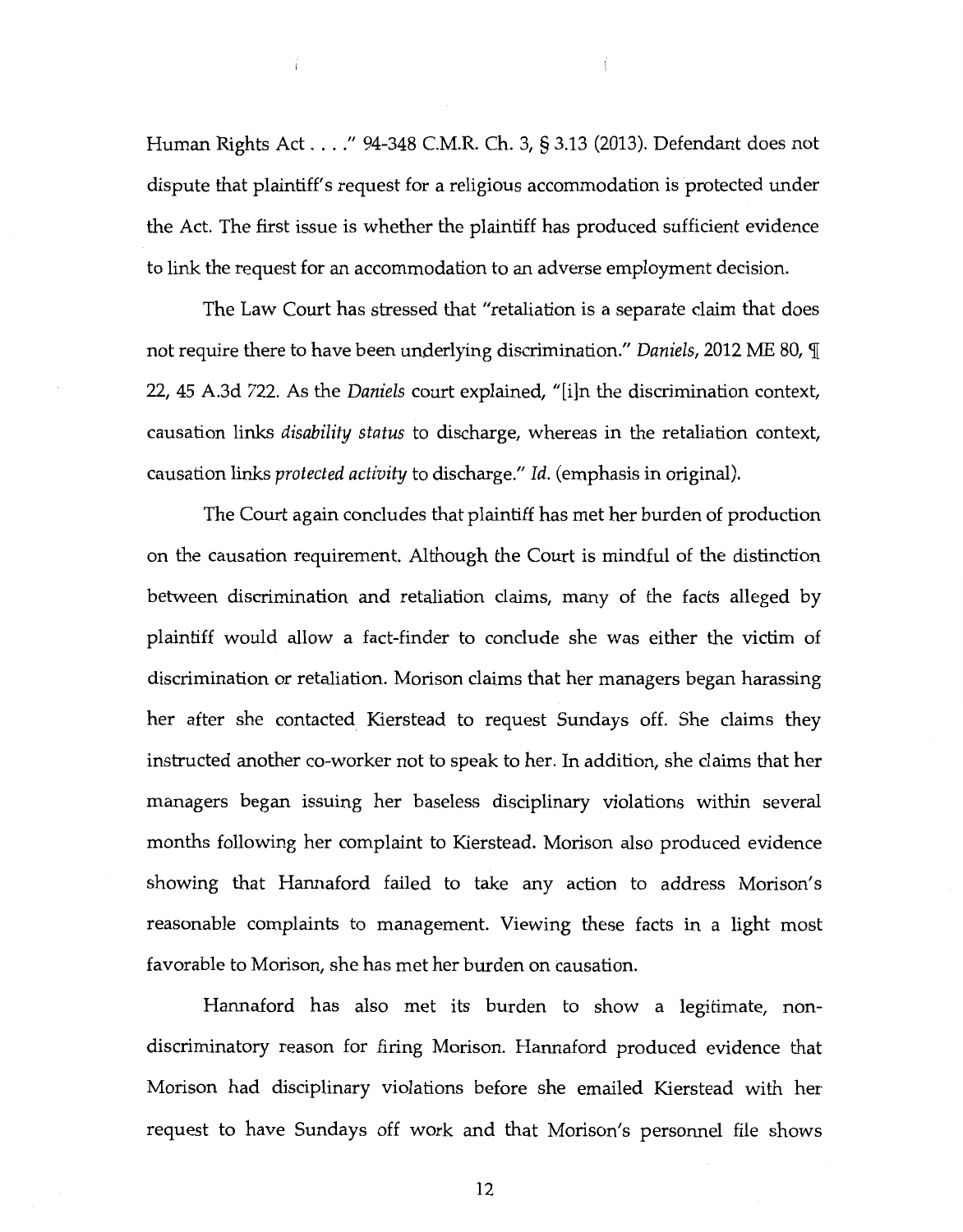Human Rights Act .... " 94-348 C.M.R. Ch. 3, § 3.13 (2013). Defendant does not dispute that plaintiff's request for a religious accommodation is protected under the Act. The first issue is whether the plaintiff has produced sufficient evidence to link the request for an accommodation to an adverse employment decision.

The Law Court has stressed that "retaliation is a separate claim that does not require there to have been underlying discrimination." *Daniels,* 2012 ME 80, 'fi 22, 45 A.3d 722. As the *Daniels* court explained, "[i]n the discrimination context, causation links *disability status* to discharge, whereas in the retaliation context, causation links *protected activity* to discharge." *Id.* (emphasis in original).

The Court again concludes that plaintiff has met her burden of production on the causation requirement. Although the Court is mindful of the distinction between discrimination and retaliation claims, many of the facts alleged by plaintiff would allow a fact-finder to conclude she was either the victim of discrimination or retaliation. Morison claims that her managers began harassing her after she contacted Kierstead to request Sundays off. She claims they instructed another co-worker not to speak to her. In addition, she claims that her managers began issuing her baseless disciplinary violations within several months following her complaint to Kierstead. Morison also produced evidence showing that Hannaford failed to take any action to address Morison's reasonable complaints to management. Viewing these facts in a light most favorable to Morison, she has met her burden on causation.

Hannaford has also met its burden to show a legitimate, nondiscriminatory reason for firing Morison. Hannaford produced evidence that Morison had disciplinary violations before she emailed Kierstead with her request to have Sundays off work and that Morison's personnel file shows